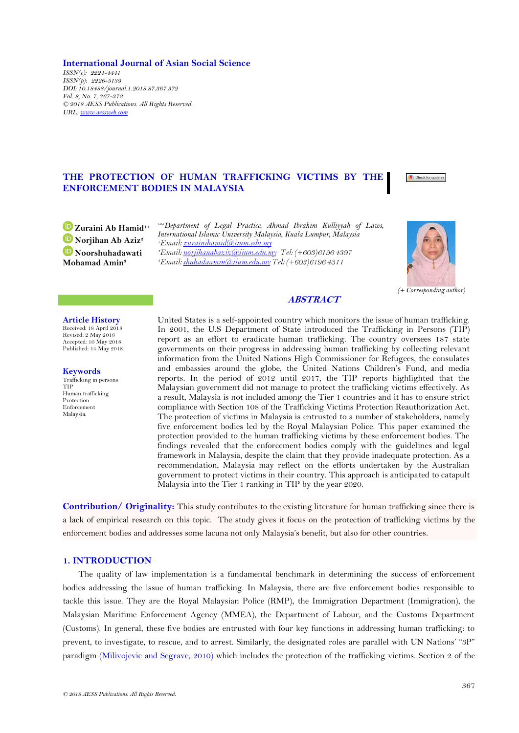*© 2018 AESS Publications. All Rights Reserved.*

**International Journal of Asian Social Science** *ISSN(e): 2224-4441 ISSN(p): 2226-5139 DOI: 10.18488/journal.1.2018.87.367.372 Vol. 8, No. 7, 367-372 © 2018 AESS Publications. All Rights Reserved. URL: [www.aessweb.com](http://www.aessweb.com/)*

# **THE PROTECTION OF HUMAN TRAFFICKING VICTIMS BY THE ENFORCEMENT BODIES IN MALAYSIA**

*1,2,3Department of Legal Practice, Ahmad Ibrahim Kulliyyah of Laws, International Islamic University Malaysia, Kuala Lumpur, Malaysia* <sup>2</sup>Email: norjihanabaziz@inum.edu.my Tel: (+603)61964397 <sup>3</sup>Email: shuhadaamin@iium.edu.my Tel: (+603)61964311

## **ABSTRACT**

United States is a self-appointed country which monitors the issue of human trafficking. In 2001, the U.S Department of State introduced the Trafficking in Persons (TIP) report as an effort to eradicate human trafficking. The country oversees 187 state governments on their progress in addressing human trafficking by collecting relevant information from the United Nations High Commissioner for Refugees, the consulates and embassies around the globe, the United Nations Children's Fund, and media reports. In the period of 2012 until 2017, the TIP reports highlighted that the Malaysian government did not manage to protect the trafficking victims effectively. As a result, Malaysia is not included among the Tier 1 countries and it has to ensure strict compliance with Section 108 of the Trafficking Victims Protection Reauthorization Act. The protection of victims in Malaysia is entrusted to a number of stakeholders, namely five enforcement bodies led by the Royal Malaysian Police. This paper examined the protection provided to the human trafficking victims by these enforcement bodies. The findings revealed that the enforcement bodies comply with the guidelines and legal framework in Malaysia, despite the claim that they provide inadequate protection. As a recommendation, Malaysia may reflect on the efforts undertaken by the Australian government to protect victims in their country. This approach is anticipated to catapult Malaysia into the Tier 1 ranking in TIP by the year 2020.

**Contribution/ Originality:** This study contributes to the existing literature for human trafficking since there is a lack of empirical research on this topic. The study gives it focus on the protection of trafficking victims by the enforcement bodies and addresses some lacuna not only Malaysia's benefit, but also for other countries.

## **1. INTRODUCTION**

The quality of law implementation is a fundamental benchmark in determining the success of enforcement bodies addressing the issue of human trafficking. In Malaysia, there are five enforcement bodies responsible to tackle this issue. They are the Royal Malaysian Police (RMP), the Immigration Department (Immigration), the Malaysian Maritime Enforcement Agency (MMEA), the Department of Labour, and the Customs Department (Customs). In general, these five bodies are entrusted with four key functions in addressing human trafficking: to prevent, to investigate, to rescue, and to arrest. Similarly, the designated roles are parallel with UN Nations' "3P" paradigm [\(Milivojevic and Segrave, 2010\)](#page-5-0) which includes the protection of the trafficking victims. Section 2 of the

**[Z](https://orcid.org/0000-0001-7829-8714)uraini Ab Hamid1+ [N](https://orcid.org/0000-0003-3314-9664)orjihan Ab Aziz<sup>2</sup> [N](https://orcid.org/0000-0003-0592-3982)oorshuhadawati Mohamad Amin<sup>3</sup>**

**Article History** Received: 18 April 2018 Revised: 2 May 2018 Accepted: 10 May 2018 Published: 14 May 2018

**Keywords** Trafficking in persons

Human trafficking Protection Enforcement Malaysia.

TIP



Check for update

*(+ Corresponding author)*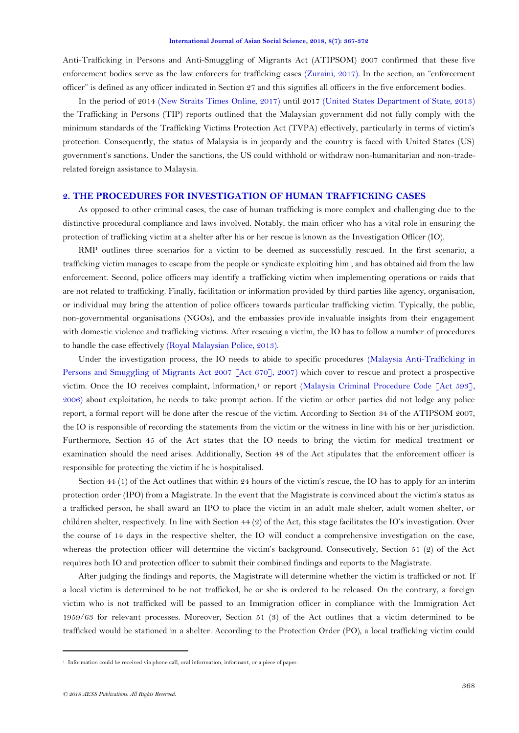Anti-Trafficking in Persons and Anti-Smuggling of Migrants Act (ATIPSOM) 2007 confirmed that these five enforcement bodies serve as the law enforcers for trafficking cases [\(Zuraini, 2017\)](#page-5-1). In the section, an "enforcement officer" is defined as any officer indicated in Section 27 and this signifies all officers in the five enforcement bodies.

In the period of 2014 [\(New Straits Times Online, 2017\)](#page-5-2) until 2017 [\(United States Department of State, 2013\)](#page-5-3) the Trafficking in Persons (TIP) reports outlined that the Malaysian government did not fully comply with the minimum standards of the Trafficking Victims Protection Act (TVPA) effectively, particularly in terms of victim's protection. Consequently, the status of Malaysia is in jeopardy and the country is faced with United States (US) government's sanctions. Under the sanctions, the US could withhold or withdraw non-humanitarian and non-traderelated foreign assistance to Malaysia.

# **2. THE PROCEDURES FOR INVESTIGATION OF HUMAN TRAFFICKING CASES**

As opposed to other criminal cases, the case of human trafficking is more complex and challenging due to the distinctive procedural compliance and laws involved. Notably, the main officer who has a vital role in ensuring the protection of trafficking victim at a shelter after his or her rescue is known as the Investigation Officer (IO).

RMP outlines three scenarios for a victim to be deemed as successfully rescued. In the first scenario, a trafficking victim manages to escape from the people or syndicate exploiting him , and has obtained aid from the law enforcement. Second, police officers may identify a trafficking victim when implementing operations or raids that are not related to trafficking. Finally, facilitation or information provided by third parties like agency, organisation, or individual may bring the attention of police officers towards particular trafficking victim. Typically, the public, non-governmental organisations (NGOs), and the embassies provide invaluable insights from their engagement with domestic violence and trafficking victims. After rescuing a victim, the IO has to follow a number of procedures to handle the case effectively [\(Royal Malaysian Police, 2013\)](#page-5-4).

Under the investigation process, the IO needs to abide to specific procedures [\(Malaysia Anti-Trafficking in](#page-5-5)  [Persons and Smuggling of Migrants Act 2007 \[Act 670\], 2007\)](#page-5-5) which cover to rescue and protect a prospective victim. Once the IO receives complaint, information,<sup>1</sup> or report (Malaysia Criminal Procedure Code [Act 593], [2006\)](#page-5-6) about exploitation, he needs to take prompt action. If the victim or other parties did not lodge any police report, a formal report will be done after the rescue of the victim. According to Section 34 of the ATIPSOM 2007, the IO is responsible of recording the statements from the victim or the witness in line with his or her jurisdiction. Furthermore, Section 45 of the Act states that the IO needs to bring the victim for medical treatment or examination should the need arises. Additionally, Section 48 of the Act stipulates that the enforcement officer is responsible for protecting the victim if he is hospitalised.

Section 44 (1) of the Act outlines that within 24 hours of the victim's rescue, the IO has to apply for an interim protection order (IPO) from a Magistrate. In the event that the Magistrate is convinced about the victim's status as a trafficked person, he shall award an IPO to place the victim in an adult male shelter, adult women shelter, or children shelter, respectively. In line with Section 44 (2) of the Act, this stage facilitates the IO's investigation. Over the course of 14 days in the respective shelter, the IO will conduct a comprehensive investigation on the case, whereas the protection officer will determine the victim's background. Consecutively, Section 51 (2) of the Act requires both IO and protection officer to submit their combined findings and reports to the Magistrate.

After judging the findings and reports, the Magistrate will determine whether the victim is trafficked or not. If a local victim is determined to be not trafficked, he or she is ordered to be released. On the contrary, a foreign victim who is not trafficked will be passed to an Immigration officer in compliance with the Immigration Act 1959/63 for relevant processes. Moreover, Section 51 (3) of the Act outlines that a victim determined to be trafficked would be stationed in a shelter. According to the Protection Order (PO), a local trafficking victim could

1

<sup>1</sup> Information could be received via phone call, oral information, informant, or a piece of paper.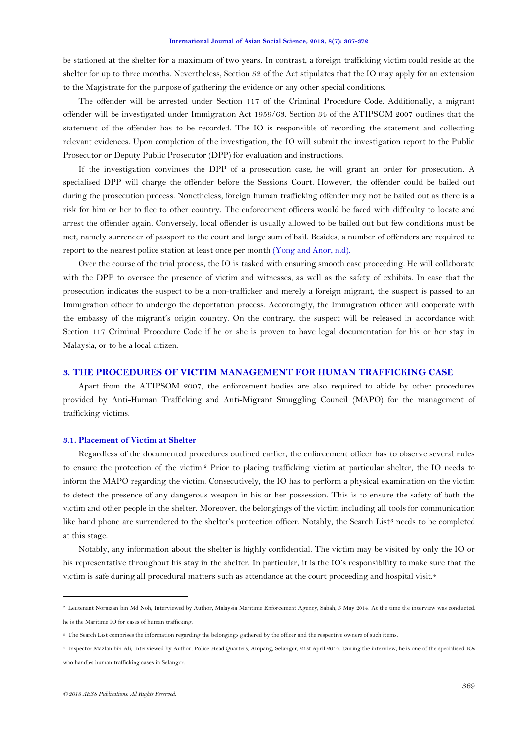#### **International Journal of Asian Social Science, 2018, 8(7): 367-372**

be stationed at the shelter for a maximum of two years. In contrast, a foreign trafficking victim could reside at the shelter for up to three months. Nevertheless, Section 52 of the Act stipulates that the IO may apply for an extension to the Magistrate for the purpose of gathering the evidence or any other special conditions.

The offender will be arrested under Section 117 of the Criminal Procedure Code. Additionally, a migrant offender will be investigated under Immigration Act 1959/63. Section 34 of the ATIPSOM 2007 outlines that the statement of the offender has to be recorded. The IO is responsible of recording the statement and collecting relevant evidences. Upon completion of the investigation, the IO will submit the investigation report to the Public Prosecutor or Deputy Public Prosecutor (DPP) for evaluation and instructions.

If the investigation convinces the DPP of a prosecution case, he will grant an order for prosecution. A specialised DPP will charge the offender before the Sessions Court. However, the offender could be bailed out during the prosecution process. Nonetheless, foreign human trafficking offender may not be bailed out as there is a risk for him or her to flee to other country. The enforcement officers would be faced with difficulty to locate and arrest the offender again. Conversely, local offender is usually allowed to be bailed out but few conditions must be met, namely surrender of passport to the court and large sum of bail. Besides, a number of offenders are required to report to the nearest police station at least once per month [\(Yong and Anor, n.d\)](#page-5-7).

Over the course of the trial process, the IO is tasked with ensuring smooth case proceeding. He will collaborate with the DPP to oversee the presence of victim and witnesses, as well as the safety of exhibits. In case that the prosecution indicates the suspect to be a non-trafficker and merely a foreign migrant, the suspect is passed to an Immigration officer to undergo the deportation process. Accordingly, the Immigration officer will cooperate with the embassy of the migrant's origin country. On the contrary, the suspect will be released in accordance with Section 117 Criminal Procedure Code if he or she is proven to have legal documentation for his or her stay in Malaysia, or to be a local citizen.

## **3. THE PROCEDURES OF VICTIM MANAGEMENT FOR HUMAN TRAFFICKING CASE**

Apart from the ATIPSOM 2007, the enforcement bodies are also required to abide by other procedures provided by Anti-Human Trafficking and Anti-Migrant Smuggling Council (MAPO) for the management of trafficking victims.

## **3.1. Placement of Victim at Shelter**

Regardless of the documented procedures outlined earlier, the enforcement officer has to observe several rules to ensure the protection of the victim.<sup>2</sup> Prior to placing trafficking victim at particular shelter, the IO needs to inform the MAPO regarding the victim. Consecutively, the IO has to perform a physical examination on the victim to detect the presence of any dangerous weapon in his or her possession. This is to ensure the safety of both the victim and other people in the shelter. Moreover, the belongings of the victim including all tools for communication like hand phone are surrendered to the shelter's protection officer. Notably, the Search List<sup>3</sup> needs to be completed at this stage.

Notably, any information about the shelter is highly confidential. The victim may be visited by only the IO or his representative throughout his stay in the shelter. In particular, it is the IO's responsibility to make sure that the victim is safe during all procedural matters such as attendance at the court proceeding and hospital visit.<sup>4</sup>

.

<sup>2</sup> Leutenant Noraizan bin Md Noh, Interviewed by Author, Malaysia Maritime Enforcement Agency, Sabah, 5 May 2014. At the time the interview was conducted, he is the Maritime IO for cases of human trafficking.

<sup>&</sup>lt;sup>3</sup> The Search List comprises the information regarding the belongings gathered by the officer and the respective owners of such items.

<sup>4</sup> Inspector Mazlan bin Ali, Interviewed by Author, Police Head Quarters, Ampang, Selangor, 21st April 2014. During the interview, he is one of the specialised IOs who handles human trafficking cases in Selangor.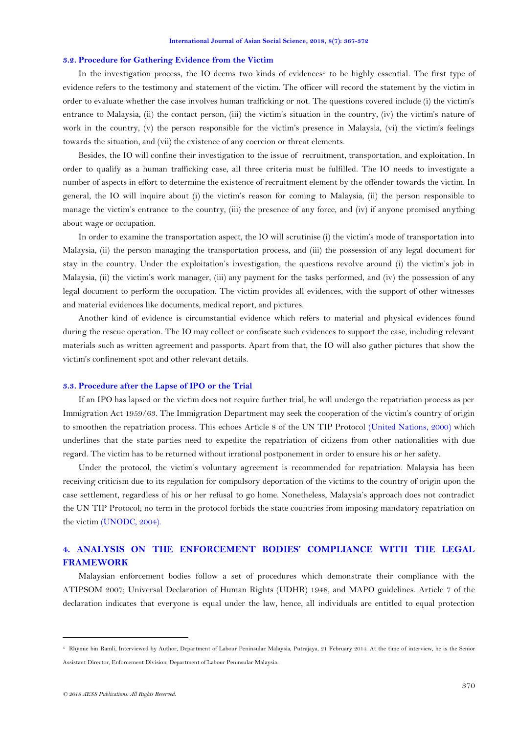#### **3.2. Procedure for Gathering Evidence from the Victim**

In the investigation process, the IO deems two kinds of evidences<sup>5</sup> to be highly essential. The first type of evidence refers to the testimony and statement of the victim. The officer will record the statement by the victim in order to evaluate whether the case involves human trafficking or not. The questions covered include (i) the victim's entrance to Malaysia, (ii) the contact person, (iii) the victim's situation in the country, (iv) the victim's nature of work in the country, (v) the person responsible for the victim's presence in Malaysia, (vi) the victim's feelings towards the situation, and (vii) the existence of any coercion or threat elements.

Besides, the IO will confine their investigation to the issue of recruitment, transportation, and exploitation. In order to qualify as a human trafficking case, all three criteria must be fulfilled. The IO needs to investigate a number of aspects in effort to determine the existence of recruitment element by the offender towards the victim. In general, the IO will inquire about (i) the victim's reason for coming to Malaysia, (ii) the person responsible to manage the victim's entrance to the country, (iii) the presence of any force, and (iv) if anyone promised anything about wage or occupation.

In order to examine the transportation aspect, the IO will scrutinise (i) the victim's mode of transportation into Malaysia, (ii) the person managing the transportation process, and (iii) the possession of any legal document for stay in the country. Under the exploitation's investigation, the questions revolve around (i) the victim's job in Malaysia, (ii) the victim's work manager, (iii) any payment for the tasks performed, and (iv) the possession of any legal document to perform the occupation. The victim provides all evidences, with the support of other witnesses and material evidences like documents, medical report, and pictures.

Another kind of evidence is circumstantial evidence which refers to material and physical evidences found during the rescue operation. The IO may collect or confiscate such evidences to support the case, including relevant materials such as written agreement and passports. Apart from that, the IO will also gather pictures that show the victim's confinement spot and other relevant details.

## **3.3. Procedure after the Lapse of IPO or the Trial**

If an IPO has lapsed or the victim does not require further trial, he will undergo the repatriation process as per Immigration Act 1959/63. The Immigration Department may seek the cooperation of the victim's country of origin to smoothen the repatriation process. This echoes Article 8 of the UN TIP Protocol [\(United Nations, 2000\)](#page-5-8) which underlines that the state parties need to expedite the repatriation of citizens from other nationalities with due regard. The victim has to be returned without irrational postponement in order to ensure his or her safety.

Under the protocol, the victim's voluntary agreement is recommended for repatriation. Malaysia has been receiving criticism due to its regulation for compulsory deportation of the victims to the country of origin upon the case settlement, regardless of his or her refusal to go home. Nonetheless, Malaysia's approach does not contradict the UN TIP Protocol; no term in the protocol forbids the state countries from imposing mandatory repatriation on the victim [\(UNODC, 2004\)](#page-5-9).

# **4. ANALYSIS ON THE ENFORCEMENT BODIES' COMPLIANCE WITH THE LEGAL FRAMEWORK**

Malaysian enforcement bodies follow a set of procedures which demonstrate their compliance with the ATIPSOM 2007; Universal Declaration of Human Rights (UDHR) 1948, and MAPO guidelines. Article 7 of the declaration indicates that everyone is equal under the law, hence, all individuals are entitled to equal protection

.

<sup>5</sup> Rhymie bin Ramli, Interviewed by Author, Department of Labour Peninsular Malaysia, Putrajaya, 21 February 2014. At the time of interview, he is the Senior Assistant Director, Enforcement Division, Department of Labour Peninsular Malaysia.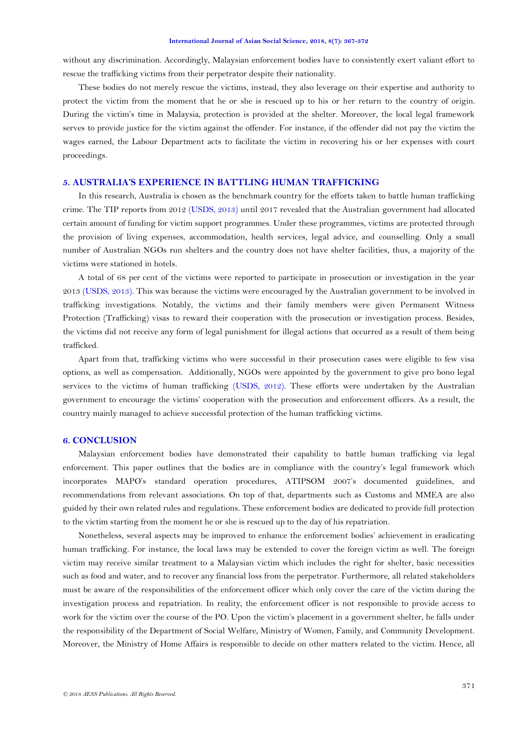without any discrimination. Accordingly, Malaysian enforcement bodies have to consistently exert valiant effort to rescue the trafficking victims from their perpetrator despite their nationality.

These bodies do not merely rescue the victims, instead, they also leverage on their expertise and authority to protect the victim from the moment that he or she is rescued up to his or her return to the country of origin. During the victim's time in Malaysia, protection is provided at the shelter. Moreover, the local legal framework serves to provide justice for the victim against the offender. For instance, if the offender did not pay the victim the wages earned, the Labour Department acts to facilitate the victim in recovering his or her expenses with court proceedings.

## **5. AUSTRALIA'S EXPERIENCE IN BATTLING HUMAN TRAFFICKING**

In this research, Australia is chosen as the benchmark country for the efforts taken to battle human trafficking crime. The TIP reports from 2012 (USDS, 2013) until 2017 revealed that the Australian government had allocated certain amount of funding for victim support programmes. Under these programmes, victims are protected through the provision of living expenses, accommodation, health services, legal advice, and counselling. Only a small number of Australian NGOs run shelters and the country does not have shelter facilities, thus, a majority of the victims were stationed in hotels.

A total of 68 per cent of the victims were reported to participate in prosecution or investigation in the year 2013 [\(USDS, 2013\)](#page-5-10). This was because the victims were encouraged by the Australian government to be involved in trafficking investigations. Notably, the victims and their family members were given Permanent Witness Protection (Trafficking) visas to reward their cooperation with the prosecution or investigation process. Besides, the victims did not receive any form of legal punishment for illegal actions that occurred as a result of them being trafficked.

Apart from that, trafficking victims who were successful in their prosecution cases were eligible to few visa options, as well as compensation. Additionally, NGOs were appointed by the government to give pro bono legal services to the victims of human trafficking [\(USDS, 2012\)](#page-5-11). These efforts were undertaken by the Australian government to encourage the victims' cooperation with the prosecution and enforcement officers. As a result, the country mainly managed to achieve successful protection of the human trafficking victims.

## **6. CONCLUSION**

Malaysian enforcement bodies have demonstrated their capability to battle human trafficking via legal enforcement. This paper outlines that the bodies are in compliance with the country's legal framework which incorporates MAPO's standard operation procedures, ATIPSOM 2007's documented guidelines, and recommendations from relevant associations. On top of that, departments such as Customs and MMEA are also guided by their own related rules and regulations. These enforcement bodies are dedicated to provide full protection to the victim starting from the moment he or she is rescued up to the day of his repatriation.

Nonetheless, several aspects may be improved to enhance the enforcement bodies' achievement in eradicating human trafficking. For instance, the local laws may be extended to cover the foreign victim as well. The foreign victim may receive similar treatment to a Malaysian victim which includes the right for shelter, basic necessities such as food and water, and to recover any financial loss from the perpetrator. Furthermore, all related stakeholders must be aware of the responsibilities of the enforcement officer which only cover the care of the victim during the investigation process and repatriation. In reality, the enforcement officer is not responsible to provide access to work for the victim over the course of the PO. Upon the victim's placement in a government shelter, he falls under the responsibility of the Department of Social Welfare, Ministry of Women, Family, and Community Development. Moreover, the Ministry of Home Affairs is responsible to decide on other matters related to the victim. Hence, all